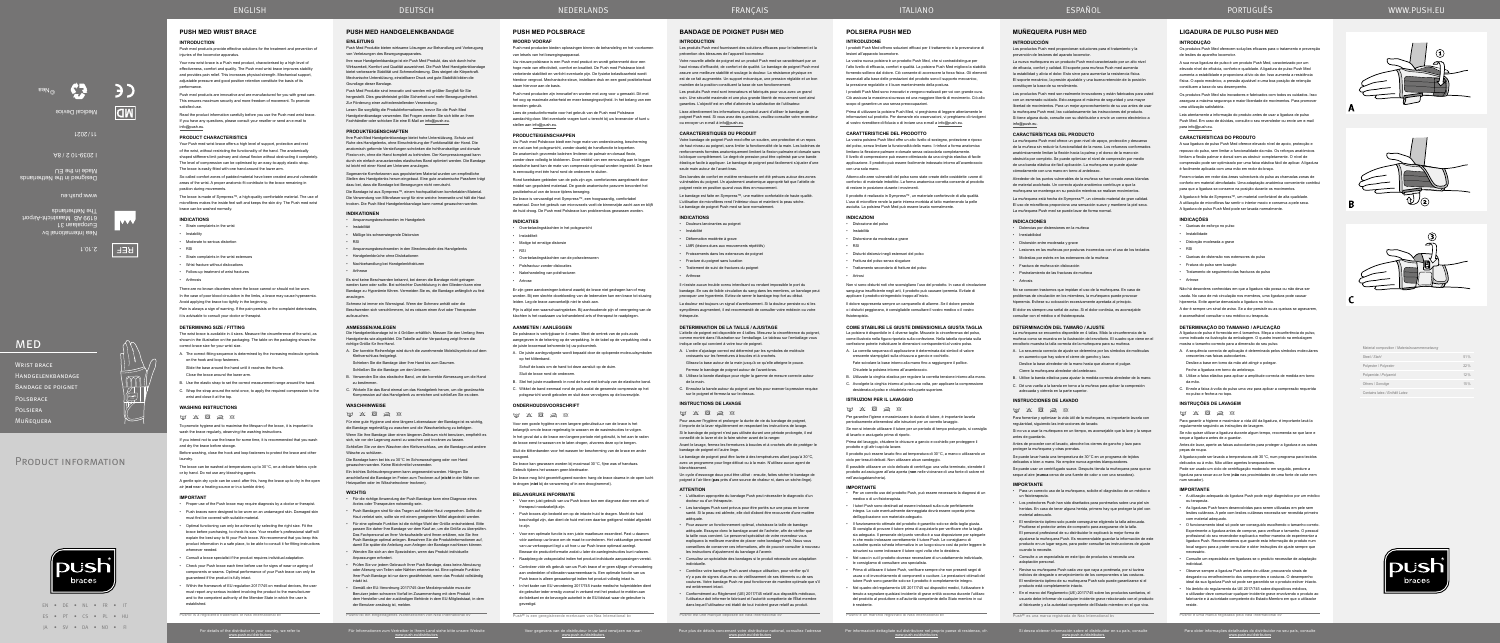

Für Informationen zum Vertreiber in Ihrem Land siehe bitte unsere Website

www.push.eu/distributors

www.push.eu/distributors

Pour plus de détails concernant votre distributeur national, consultez l'adresse www.push.eu/distributors

Votre nouvelle attelle de poignet est un produit Push med se caractérisant par un haut niveau d'efficacité, de confort et de qualité. Le bandage de poignet Push med assure une meilleure stabilité et soulage la douleur. La résistance physique en est de ce fait augmentée. Un support mécanique, une pression réglable et un bon maintien de la position constituent la base de son fonctionnement

> Per informazioni dettagliate sul distributore nel proprio paese di residenza, cfr. www.push.eu/distributors

Si desea obtener información sobre el distribuidor en su país, consulte www.push.eu/distributors

Para obter informações detalhadas do distribuidor no seu país, consulte www.push.eu/distributors

## **BANDAGE DE POIGNET PUSH MED**

## **INTRODUCTION**

Les produits Push med fournissent des solutions efficaces pour le traitement et la prévention des blessures de l'appareil locomoteur.

Des bandes de confort en matière rembourrée ont été prévues autour des zones vulnérables du poignet. Un ajustement anatomique approprié fait que l'attelle de poignet reste en position quand vous êtes en mouvement

Les produits Push med sont innovateurs et fabriqués pour vous avec un grand soin. Une sécurité maximale et une plus grande liberté de mouvement sont ainsi garanties. L'objectif est en effet d'atteindre la satisfaction de l'utilisateur. Lisez attentivement les informations du produit avant d'utiliser le bandage de

poignet Push med. Si vous avez des questions, veuillez consulter votre revendeur ou envoyer un e-mail à info@push.eu.

## **CARACTERISTIQUES DU PRODUIT**

A. L'ordre d'ajustage correct est déterminé par les symboles de molécule croissants sur les fermetures à boucles et à croche

C. Enroulez la bande autour du poignet une fois pour exercer la pression requise sur le poignet et fermez-la sur le dessus

Votre bandage de poignet Push med offre un soutien, une protection et un repos de haut niveau au poignet, sans limiter la fonctionnalité de la main. Les baleines de renforcements formées anatomiquement limitent la flexion palmaire et dorsale sans la bloquer complètement. Le degré de pression peut être optimisé par une bande élastique facile à appliquer. Le bandage de poignet peut facilement s'ajuster d'une seule main autour de l'avant-bras.

**INSTRUCTIONS DE LAVAGE**  $\label{eq:3.1} \boxtimes \ \, \boxtimes \ \, \boxtimes \ \, \boxtimes \ \, \boxtimes \ \, \boxtimes$ 

Les bandages Push sont prévus pour être portés sur une peau en bonne santé. Si la peau est abîmée, elle doit d'abord être recouverte d'une matière

Le bandage est faite en Sympress™, une matière confortable de haute qualité. L'utilisation de microfibres rend l'intérieur doux et maintient la peau sèche. Le bandage de poignet Push med se lave normalement.

#### **INDICATIONS**

• Douleurs lancinantes au poigne

• Instabilité

• Déformation modérée à grave

• LMR (lésions dues aux mouvements répétitifs)

• Froissements dans les extenseurs de poignet

• Fracture du poignet sans luxation

• Traitement de suivi de fractures du poignet

• Arthrose

Il n'existe aucun trouble connu interdisant ou rendant impossible le port du bandage. En cas de faible circulation du sang dans les membres, un bandage peut provoquer une hyperémie. Evitez de serrer le bandage trop fort au début.

La douleur est toujours un signal d'avertissement. Si la douleur persiste ou si les symptômes augmentent, il est recommandé de consulter votre médecin ou votre thérapeute.

#### **DETERMINATION DE LA TAILLE / AJUSTAGE**

L'attelle de poignet est disponible en 4 tailles. Mesurez la circonférence du poignet, comme montré dans l'illustration sur l'emballage. Le tableau sur l'emballage vous indique celle qui convient à votre tour de poignet.

Glissez la base autour de la main jusqu'à ce qu'elle atteigne le pouce.

Fermez le bandage de poignet autour de l'avant-bras.

B. Utilisez la bande élastique pour régler la gamme de mesure correcte autour de la main.

Pour assurer l'hygiène et prolonger la durée de vie du bandage de poignet, il importe de la laver régulièrement en respectant les instructions de lavage. Si le bandage de poignet n'est pas utilisée durant une période prolongée, il est

conseillé de la laver et de la faire sécher avant de la ranger.

Avant le lavage, fermez les fermetures à boucles et à crochets afin de protéger le

bandage de poignet et l'autre linge.

Le bandage de poignet peut être lavée à des températures allant jusqu'à 30°C, avec un programme pour linge délicat ou à la main. N'utilisez aucun agent de

blanchissement.

Un cycle d'essorage doux peut être utilisé : ensuite, faites sécher le bandage de poignet à l'air libre (**pas** près d'une source de chaleur ni, dans un sèche‑linge).

**ATTENTION**

• L'utilisation appropriée du bandage Push peut nécessiter le diagnostic d'un

docteur ou d'un thérapeute.

adéquate.

• Pour assurer un fonctionnement optimal, choisissez la taille de bandage adéquate. Essayez donc le bandage avant de l'acheter, afin de vérifier que la taille vous convient. Le personnel spécialisé de votre revendeur vous expliquera la meilleure manière de placer votre bandage Push. Nous vous conseillons de conserver ces informations, afin de pouvoir consulter à nouveau

les instructions d'ajustement du bandage à l'avenir.

Push<sup>®</sup> est une marque déposée de Nea International b

• Consultez un spécialiste des bandages si le produit nécessite une adaptation

individuelle.

est entièrement intac

• Contrôlez votre bandage Push avant chaque utilisation, pour vérifier qu'il n'y a pas de signes d'usure ou de vieillissement de ses éléments ou de ses coutures. Votre bandage Push ne peut fonctionner de manière optimale que s'il

• Conformément au Règlement (UE) 2017/745 relatif aux dispositifs médicaux, l'utilisateur doit informer le fabricant et l'autorité compétente de l'État membre dans lequel l'utilisateur est établi de tout incident grave relatif au produit.

#### **ANMESSEN/ANLEGEN**

Die Handgelenkbandage ist in 4 Größen erhältlich. Messen Sie den Umfang Ihres Handgelenks wie abgebildet. Die Tabelle auf der Verpackung zeigt Ihnen die richtige Größe für Ihre Hand.

- Dolencias por distensiones en la muñeca
- Inestabilidad
- Distorsión entre moderada y grave
- Lesiones en las muñecas por posturas incorrectas con el uso de los teclados
- Molestias por estrés en los extensores de la muñeca
- Fractura de muñeca sin dislocación
- Postratamiento de las fracturas de muñeca
- **Artrosis**

- A. Der korrekte Reihenfolge wird durch die zunehmende Molekülsymbole auf dem Klettverschluss festgelegt.
- Schieben Sie die Bandage über Ihre Hand bis zum Daumen. Schließen Sie die Bandage um den Unterarm.
- B. Verwenden Sie das elastische Band, um die korrekte Abmessung um die Hand
- zu bestimmen. C. Wickeln Sie das Band einmal um das Handgelenk herum, um die gewünschte
- Kompression auf das Handgelenk zu erreichen und schließen Sie es oben.

## **WASCHHINWEISE**

 $\boxtimes \hspace{0.1cm} \boxtimes \hspace{0.1cm} \boxtimes \hspace{0.1cm} \boxtimes \hspace{0.1cm} \boxtimes \hspace{0.1cm} \boxtimes \hspace{0.1cm} \boxtimes$ Für eine gute Hygiene und eine längere Lebensdauer der Bandage ist es wichtig, die Bandage regelmäßig zu waschen und die Waschanleitung zu befolge

A. La secuencia correcta de ajuste se determina por los símbolos de moléculas en aumento que hay sobre el cierre de gancho y lazo.

Wenn Sie Ihre Bandage über einen längeren Zeitraum nicht benutzen, empfiehlt es

sich, sie vor der Lagerung zuerst zu waschen und trocknen zu lassen. Schließen Sie vor dem Waschen den Klettverschluss, um die Bandage und andere Wäsche zu schützen.

 $\label{eq:3.1} \begin{array}{lll} \hbox{if $\Delta$} & \hbox{if $\Delta$} & \hbox{if $\Delta$} \end{array}$ Para fomentar y optimizar la vida útil de la muñequera, es importante lavarla con regularidad, siguiendo las instrucciones de lavado.

Die Bandage kann bei bis zu 30°C im Schonwaschgang oder von Hand gewaschen werden. Keine Bleichmittel verwenden.

Antes de proceder con el lavado, abroche los cierres de gancho y lazo para proteger la muñequera y otras prendas

Ein leichtes Schleuderprogramm kann angewendet werden. Hängen Sie anschließend die Bandage im Freien zum Trocknen auf (**nicht** in der Nähe von Heizquellen oder im Wäschetrockner trocknen).

- **WICHTIG** Für die richtige Anwendung der Push Bandage kann eine Diagnose eines Arztes oder Therapeuten notwendig sein.
- Push Bandagen sind für das Tragen auf intakter Haut vorgesehen. Sollte die Haut verletzt sein, sollte sie mit einem geeigneten Mittel abgedeckt werden.
- Für eine optimale Funktion ist die richtige Wahl der Größe entscheidend. Bitte passen Sie daher Ihre Bandage vor dem Kauf an, um die Größe zu überprüfen. Das Fachpersonal an Ihrer Verkaufsstelle wird Ihnen erklären, wie Sie Ihre Push Bandage optimal anlegen. Bewahren Sie die Produktinformationen auf, damit Sie später die Anleitung zum Anlegen der Bandage nachlesen können.
- Wenden Sie sich an den Spezialisten, wenn das Produkt individuelle Anpassungen erfordert.
- Prüfen Sie vor jedem Gebrauch Ihrer Push Bandage, dass keine Abnutzung oder Alterung von Teilen oder Nähten erkennbar ist. Eine optimale Funktion Ihrer Push Bandage ist nur dann gewährleistet, wenn das Produkt vollständig intakt ist.
- Gemäß der EU-Verordnung 2017/745 über Medizinprodukte muss der Benutzer jeden schweren Vorfall im Zusammenhang mit dem Produkt dem Hersteller und der zuständigen Behörde in dem EU-Mitgliedstaat, in dem der Benutzer ansässig ist, melden.

WRIST BRACE Handgelenkbandage Bandage de poignet POLSBRACE **POLSIERA** Muñequera

# PRODUCT INFORMATION



Push® ist ein eingetragenes Warenzeichen von Nea International bv

**PUSH MED HANDGELENKBANDAGE**

#### **EINLEITUNG** Push Med Produkte bieten wirksame Lösungen zur Behandlung und Vorbeugung von Verletzungen des Bewegungsapparates.

Ihre neue Handgelenkbandage ist ein Push Med Produkt, das sich durch hohe Wirksamkeit, Komfort und Qualität auszeichnet. Die Push Med Handgelenkbandage bietet verbesserte Stabilität und Schmerzlinderung. Dies steigert die Körperkraft. Mechanische Unterstützung, einstellbarer Druck und gute Stabilität bilden die Grundlage dieser Bandage.

Strain complaints in the wrist extensor • Wrist fracture without dislocations • Follow-up treatment of wrist fractures

Push Med Produkte sind innovativ und werden mit größter Sorgfalt für Sie hergestellt. Dies gewährleistet größte Sicherheit und mehr Bewegungsfreiheit. Zur Förderung einer zufriedenstellenden Verwendung.

Lesen Sie sorgfältig die Produktinformationen, bevor Sie die Push Med Handgelenkbandage verwenden. Bei Fragen wenden Sie sich bitte an Ihren Fachhändler oder schicken Sie eine E-Mail an info@push.eu.

wrist and close it at the top. **WASHING INSTRUCTIONS**  $m \times R \approx R$ 

## **PRODUKTEIGENSCHAFTEN**

Ihre Push Med Handgelenkbandage bietet hohe Unterstützung, Schutz und Ruhe des Handgelenks, ohne Einschränkung der Funktionalität der Hand. Die anatomisch geformte Versteifungen schränken die hohlhandseitige und dorsale Flexion ein, ohne die Hand komplett zu behindern. Der Kompressionsgrad kann durch ein einfach anzusetzendes elastisches Band optimiert werden. Die Bandage ist leicht mit einer Hand am Unterarm anzulegen.

• Optimal functioning can only be achieved by selecting the right size. Fit the brace before purchasing, to check its size. Your reseller's professional staff will explain the best way to fit your Push brace. We recommend that you keep this product information in a safe place, to be able to consult it for fitting instruction

Sogenannte Komfortzonen aus gepolstertem Material wurden um empfindliche Stellen des Handgelenks herum eingebaut. Eine gute anatomische Passform trägt dazu bei, dass die Bandage bei Bewegungen nicht verrutscht.

Die Bandage ist aus Sympress™, einem hochqualitativen komfortablen Material. Die Verwendung von Mikrofaser sorgt für eine weiche Innenseite und hält die Haut trocken. Die Push Med Handgelenkbandage kann normal gewaschen werden.

Push med producten bieden oplossingen binnen de behandeling en het voorkomen van letsels van het bewegingsapparaat

#### **INDIKATIONEN**

- Anspannungsbeschwerden im Handgelenk • Instabilität
- - Mäßige bis schwerwiegende Distorsion • RSI
	- Anspannungsbeschwerden in den Streckmuskeln des Handgelenks
	- Handgelenkbrüche ohne Dislokationen
	- Nachbehandlung bei Handgelenkfrakturen
	-
	- Arthrose

.<br>Uw nieuwe polsbrace is een Push med product en wordt gekenmerkt door ee hoge mate van effectiviteit, comfort en kwaliteit. De Push med Polsbrace biedt verbeterde stabiliteit en verlicht eventuele pijn. De fysieke belastbaarheid wordt hierdoor vergroot. Mechanische steun, instelbare druk en een goed positiebehoud staan hiervoor aan de basis.

Es sind keine Beschwerden bekannt, bei denen die Bandage nicht getragen werden kann oder sollte. Bei schlechter Durchblutung in den Gliedern kann eine Bandage zu Hyperämie führen. Vermeiden Sie es, die Bandage anfänglich zu fest anzulegen.

Schmerz ist immer ein Warnsignal. Wenn der Schmerz anhält oder die Beschwerden sich verschlimmern, ist es ratsam einen Arzt oder Therapeuten aufzusuchen.

## **MUÑEQUERA PUSH MED**

#### **INTRODUCCIÓN**

Rond kwetsbare gebieden van de pols zijn zgn. comfortzones aangebracht door middel van gepolsterd materiaal. De goede anatomische pasvorm bevordert het positiebehoud van de brace tijdens beweging.

Los productos Push med proporcionan soluciones para el tratamiento y la prevención de lesiones del aparato locomotor.

La nueva muñequera es un producto Push med caracterizado por un alto nivel de eficacia, confort y calidad. El soporte para muñeca Push med aumenta la estabilidad y alivia el dolor. Esto sirve para aumentar la resistencia física. El soporte mecánico, la presión ajustable y una buena retención de la posición constituyen la base de su rendimiento.

Los productos Push med son realmente innovadores y están fabricados para usted con un esmerado cuidado. Esto asegura el máximo de seguridad y una mayor libertad de movimientos. Para un mejor aprovechamiento de su uso antes de usar la muñequera Push med, lea cuidadosamente las instrucciones del producto. Si tiene alguna duda, consulte con su distribuidor o envíe un correo electrónico a info@push.eu.

Voor een goede hygiëne en een langere gebruiksduur van de brace is het belangrijk om de brace regelmatig te wassen en de wasinstructies te volgen.

#### **CARACTERÍSTICAS DEL PRODUCTO**

La muñequera Push med ofrece un gran nivel de apoyo, protección y descanso de la muñeca sin reducir la funcionalidad de la mano. Los refuerzos conformados anatómicamente limitan la flexión hacia la palma y el dorso de la mano sin obstruirla por completo. Se puede optimizar el nivel de compresión por medio de una banda elástica de fácil aplicación. La muñequera se puede ajustar cómodamente con una mano en torno al antebrazo.

Alrededor de los puntos vulnerables de la muñeca se han creado zonas blandas de material acolchado. Un correcto ajuste anatómico contribuye a que la muñequera se mantenga en su posición mientras se realizan movimientos.

La muñequera está hecha de Sympress™, un cómodo material de gran calidad. El uso de microfibras proporciona una sensación suave y mantiene la piel seca. La muñequera Push med se puede lavar de forma normal.

#### **INDICACIONES**

No se conocen trastornos que impidan el uso de la muñequera. En caso de problemas de circulación en los miembros, la muñequera puede provocar hiperemia. Evítese su colocación excesivamente apretada al principio. El dolor es siempre una señal de aviso. Si el dolor continúa, es aconsejable consultar con el médico o el fisioterapeuta.

#### **DETERMINACIÓN DEL TAMAÑO / AJUSTE**

La muñequera se encuentra disponible en 4 tallas. Mida la circunferencia de la muñeca como se muestra en la ilustración del envoltorio. El cuadro que viene en el envoltorio muestra la talla correcta de la muñequera para su muñeca.

Deslice la base alrededor de la mano hasta que alcance el pulgar. Cierre la muñequera alrededor del antebrazo.

B. Utilice la banda elástica para ajustar la medida correcta alrededor de la mano. C. Dé una vuelta a la banda en torno a la muñeca para aplicar la compresión

## adecuada y ciérrela en la parte superior.

## **INSTRUCCIONES DE LAVADO**

Si no va a usar la muñequera en un tiempo, es aconsejable que la lave y la seque antes de guardarla.

Se puede lavar hasta una temperatura de 30°C en un programa de tejidos

delicados o bien a mano. No emplee nunca agentes blan

Se puede usar un centrifugado suave. Después tienda la muñequera para que se seque al aire (**nunca** cerca de una fuente de calor o con una secadora).

#### **IMPORTANTE**

- Para un correcto uso de la muñequera, solicite el diagnóstico de un médico o un fisioterapeuta.
- Los protectores Push han sido diseñados para ponérselos sobre una piel sin heridas. En caso de tener alguna herida, primero hay que proteger la piel con material adecuado.
- El rendimiento óptimo solo puede conseguirse eligiendo la talla adecuada. Pruébese el protector antes de comprarlo para asegurarse de la talla. El personal profesional de su distribuidor le explicará la mejor forma de ajustarse la muñequera Push. Es recomendable guardar la información de este producto en un lugar seguro, para poder consultar las instrucciones de ajuste cuando lo necesite.
- Consulte a un especialista en este tipo de productos si necesita una adaptación personal.
- Revise su muñequera Push cada vez que vaya a ponérsela, por si tuviera indicios de desgaste o envejecimiento de los componentes o las costuras. El rendimiento óptimo de su muñequera Push solo puede garantizarse si el producto está completamente intacto.
- En el marco del Reglamento (UE) 2017/745 sobre los productos sanitarios, el usuario debe informar de cualquier incidente grave relacionado con el producto al fabricante y a la autoridad competente del Estado miembro en el que viva.

Os produtos Push Med oferecem soluções eficazes para o tratamento e prevenção de lesões do aparelho locomoto

**PUSH MED WRIST BRACE**

**INTRODUCTION**

- Queixas de esforço no pulso
- Instabilidade
- Distorção moderada a grav

Push med products provide effective solutions for the treatment and prevention of

injuries of the locomotor apparatus.

Your new wrist brace is a Push med product, characterised by a high level of effectiveness, comfort and quality. The Push med wrist brace improves stability and provides pain relief. This increases physical strength. Mechanical support adjustable pressure and good position retention constitute the basis of its

performance.

satisfied use

Push med products are innovative and are manufactured for you with great care. This ensures maximum security and more freedom of movement. To promote

> Deslize a base em torno da mão até atingir o polegar Feche a ligadura em torno do antebraço.

crescentes nas faixas autocolante

no pulso e feche-a no topo. **INSTRUÇÕES DE LAVAGEM**  $\label{eq:3.1} \begin{array}{lll} \hline \boxtimes \times \boxtimes \text{B} & \text{B} & \text{B} \end{array}$ 

Read the product information carefully before you use the Push med wrist brace. If you have any questions, please consult your reseller or send an e-mail to

info@push.eu.

For details of the distributor in your country, we refer to<br>www.push.eu/distributors

**PRODUCT CHARACTERISTICS**

Your Push med wrist brace offers a high level of support, protection and rest of the wrist, without restricting the functionality of the hand. The anatomically shaped stiffeners limit palmary and dorsal flexion without obstructing it completely. The level of compression can be optimised by an easy-to-apply elastic strap. The brace is easily fitted with one hand around the lower arm.

> • As ligaduras Push foram desenvolvidas para serem utilizadas em pele sem lesões cutâneas. A pele com lesões cutâneas necessita ser revestida primeiro

So-called comfort zones of padded material have been created around vulnerable areas of the wrist. A proper anatomic fit contribute to the brace remaining in

> • Observe sempre a ligadura Push antes de utilizar, procurando sinais de desgaste ou envelhecimento dos componentes e costuras. O desempenh ideal da sua ligadura Push só pode ser garantido se o produto estiver intacto. • No âmbito do regulamento da UE 2017/745 sobre dispositivos médicos, o utilizador deve comunicar qualquer incidente grave envolvendo o produto ao fabricante e à autoridade competente do Estado-Membro em que o utilizado

position during movements.

The brace is made of Sympress™, a high-quality comfortable material. The use of microfibres makes the inside feel soft and keeps the skin dry. The Push med wrist

There are no known disorders where the brace cannot or should not be worr In the case of poor blood circulation in the limbs, a brace may cause hyperaemia.

brace can be washed normally. **INDICATIONS**

• Strain complaints in the wrist

Moderate to serious distortio

• Arthrosis

Avoid applying the brace too tightly in the beginning.

Pain is always a sign of warning. If the pain persists or the complaint deteriorates,

it is advisable to consult your doctor or therapist. **DETERMINING SIZE / FITTING**

The wrist brace is available in 4 sizes. Measure the circumference of the wrist, as shown in the illustration on the packaging. The table on the packaging shows the

correct brace size for your wrist size.

A. The correct fitting sequence is determined by the increasing molecule symbols

on the hook and loop fasteners.

Slide the base around the hand until it reaches the thumb.

wash the brace regularly, observing the washing instructions.

Close the brace around the lower arm.

**Instability** 

 $PCI$ 

B. Use the elastic strap to set the correct measurement range around the hand. C. Wrap the strap around the wrist once, to apply the required compression to the

To promote hygiene and to maximise the lifespan of the brace, it is important to

If you intend not to use the brace for some time, it is recommended that you wash

and dry the brace before storage.

or by hand. Do not use any bleaching agent

Before washing, close the hook and loop fasteners to protect the brace and other

laundry.

The brace can be washed at temperatures up to 30°C, on a delicate fabrics cycle

A gentle spin-dry cycle can be used: after this, hang the brace up to dry in the open

air (**not** near a heating source or in a tumble drier).

**IMPORTANT**

whenever needed.

• Proper use of the Push brace may require diagnosis by a doctor or therapist. • Push braces were designed to be worn on an undamaged skin. Damaged skin

must first be covered with suitable material.

• Consult a brace specialist if the product requires individual adaptation. • Check your Push brace each time before use for signs of wear or ageing of components or seams. Optimal performance of your Push brace can only be

guaranteed if the product is fully intact.

• Within the framework of EU regulation 2017/745 on medical devices, the user must report any serious incident involving the product to the manufacture and to the competent authority of the Member State in which the user is

# ENGLISH DEUTSCH

established.

Push® is a registered trademark of Nea International bv

## **PUSH MED POLSBRACE**

**WOORD VOORAF**

Push med producten zijn innovatief en worden met zorg voor u gemaakt. Dit met het oog op maximale zekerheid en meer bewegingsvrijheid. In het belang van een tevreden gebruik.

Lees de productinformatie voor het gebruik van de Push med Polsbrace aandachtig door. Met eventuele vragen kunt u terecht bij uw leverancier of kunt u stellen aan info@push.eu.

#### **PRODUCTEIGENSCHAPPEN**

Uw Push med Polsbrace biedt een hoge mate van ondersteuning, bescherming en rust aan het polsgewricht, zonder daarbij de handfunctie te beperken. De anatomisch gevormde baleinen limiteren de palmair en dorsaal flexie, zonder deze volledig te blokkeren. Door middel van een eenvoudig aan te leggen elastische band kan de mate van compressie optimaal worden ingesteld. De brace is eenvoudig met één hand rond de onderarm te sluiten.

De brace is vervaardigd met Sympress™, een hoogwaardig, comfortabel materiaal. Door het gebruik van microvezels voelt de binnenzijde zacht aan en blijft de huid droog. De Push med Polsbrace kan probleemloos gewassen worden.

#### **INDICATIES**

- Overbelastingsklachten in het polsgewricht
- Instabiliteit
- Matige tot ernstige distorsie
- RSI
- Overbelastingsklachten van de polsextensoren
- Polsfractuur zonder dislocaties
- Nabehandeling van polsfracturen
- Artrose

Er zijn geen aandoeningen bekend waarbij de brace niet gedragen kan of mag worden. Bij een slechte doorbloeding van de ledematen kan een brace tot stuwing leiden. Leg de brace aanvankelijk niet te strak aan.

Pijn is altijd een waarschuwingsteken. Bij aanhoudende pijn of verergering van de klachten is het raadzaam uw behandelend arts of therapeut te raadplegen.

#### **AANMETEN / AANLEGGEN**

De polsbrace is verkrijgbaar in 4 maten. Meet de omtrek van de pols zoals aangegeven in de tekening op de verpakking. In de tabel op de verpakking vindt u de juiste bracemaat behorende bij uw polsomtrek.

- A. De juiste aanlegvolgorde wordt bepaald door de oplopende molecuulsymbolen op het klittenband.
- Schuif de basis om de hand tot deze aansluit op de duim.
- Sluit de brace rond de onderarm.
- B. Stel het juiste maatbereik in rond de hand met behulp van de elastische band. C. Wikkel de band eenmaal rond de pols zodat de gewenste compressie op het
- polsgewricht wordt geboden en sluit deze vervolgens op de bovenzijde.

## **ONDERHOUDSVOORSCHRIFT**

 $\label{eq:2.1} \begin{array}{lll} \hline \mathbb{Z} & \mathbb{Z} & \mathbb{Z} & \mathbb{Z} & \mathbb{Z} \end{array}$ 

In het geval dat u de brace een langere periode niet gebruikt, is het aan te raden

de brace eerst te wassen en te laten drogen, alvorens deze op te bergen. Sluit de klittenbanden voor het wassen ter bescherming van de brace en ander wasgoed.

De brace kan gewassen worden bij maximaal 30°C, fijne was of handwas. Gebruik tijdens het wassen geen bleekwater.

De brace mag licht gecentrifugeerd worden: hang de brace daarna in de open lucht te drogen (**niet** bij de verwarming of in een droogtrommel).

#### **BELANGRIJKE INFORMATIE**

- Voor een juist gebruik van uw Push brace kan een diagnose door een arts of therapeut noodzakelijk zijn.
- Push braces zijn bedoeld om op de intacte huid te dragen. Mocht de huid beschadigd zijn, dan dient de huid met een daartoe geëigend middel afgedekt te zijn.
- Voor een optimale functie is een juiste maatkeuze essentieel. Past u daarom vóór aankoop uw brace om de maat te controleren. Het vakkundige personeel van uw verkooppunt legt u uit hoe u uw Push brace optimaal aanlegt. Bewaar de productinformatie zodat u later de aanleginstructies kunt nalezen.
- Raadpleeg de vakspecialist indien het product individuele aanpassingen vereis
- Controleer vóór elk gebruik van uw Push brace of er geen slijtage of veroudering aan onderdelen of stiknaden waarneembaar is. Een optimale functie van uw Push brace is alleen gewaarborgd indien het product volledig intact is.
- In het kader van EU verordening 2017/745 inzake medische hulpmiddelen dient de gebruiker ieder ernstig voorval in verband met het product te melden aan de fabrikant en de bevoegde autoriteit in de EU-lidstaat waar de gebruiker is gevestigd.

**POLSIERA PUSH MED**

**INTRODUZIONE**

I prodotti Push Med offrono soluzioni efficaci per il trattamento e la prevenzione di

lesioni all'apparato locomotore.

La vostra nuova polsiera è un prodotto Push Med, che si contraddistingue per l'alto livello di efficacia, comfort e qualità. La polsiera Push Med migliora la stabilità fornendo sollievo dal dolore. Ciò consente di accrescere la forza fisica. Gli elementi essenziali alla base delle prestazioni del prodotto sono il supporto meccanico, la pressione regolabile e il buon mantenimento della postura.

I prodotti Push Med sono innovativi e vengono realizzati per voi con grande cura. Ciò assicura la massima sicurezza ed una maggiore libertà di movimento. Ciò allo

scopo di garantire un uso senza preoccupazioni.

Prima di utilizzare la polsiera Push Med, vi preghiamo di leggere attentamente le informazioni sul prodotto. Per domande e/o osservazioni, vi preghiamo di rivolgerv al vostro rivenditore di fiducia o di inviare una e-mail a info@push.eu.

**CARATTERISTICHE DEL PRODOTTO**

di restare in posizione durante i moviment

La vostra polsiera Push Med offre un alto livello di sostegno, protezione e riposo del polso, senza limitare la funzionalità della mano. I rinforzi a forma anatomica limitano la flessione palmare e dorsale senza ostacolarla completamente. Il livello di compressione può essere ottimizzato da una cinghia elastica di facile applicazione. Il prodotto può essere facilmente indossato intorno all'avambraccio

con una sola mano.

Attorno alle aree vulnerabili del polso sono state create delle cosiddette «zone di conforto» di materiale imbottito. La forma anatomica corretta consente al prodotto

Il prodotto è realizzato in Sympress™, un materiale confortevole di alta qualità. L'uso di microfibre rende la parte interna morbida al tatto mantenendo la pelle asciutta. La polsiera Push Med può essere lavata normalmente.

**INDICAZIONI** • Distrazione del polso • Instabilità

• Distorsione da moderata a grave

• RSI

• Disturbi distorsivi negli estensori del polso • Frattura del polso senza slogature • Trattamento secondario di fratture del polso

• Artrosi

Non vi sono disturbi noti che sconsigliano l'uso del prodotto. In caso di circolazione sanguigna insufficiente negli arti, il prodotto può causare iperemia. Evitate di

applicare il prodotto stringendolo troppo all'inizio.

Il dolore rappresenta sempre un campanello di allarme. Se il dolore persiste o i disturbi peggiorano, è consigliabile consultare il vostro medico o il vostro

fisioterapista.

 $\boxtimes$   $\boxtimes$   $\boxtimes$   $\boxtimes$ 

**COME STABILIRE LE GIUSTE DIMENSIONI/LA GIUSTA TAGLIA** La polsiera è disponibile in 4 diverse taglie. Misurate la circonferenza del polso, come illustrato nella figura riportata sulla confezione. Nella tabella riportata sulla confezione potrete individuare le dimensioni corrispondenti al vostro polso. A. La corretta sequenza di applicazione è determinata dai simboli di valore crescente stampigliati sulla chiusura a gancio e occhiello Fate scivolare la base intorno alla mano fino a raggiungere il pollice.

Chiudete la polsiera intorno all'avambraccio.

B. Utilizzate la cinghia elastica per regolare la corretta tensione intorno alla mano. C. Avvolgete la cinghia intorno al polso una volta, per applicare la compressione

desiderata al polso e chiudetela nella parte superiore.

#### **ISTRUZIONI PER IL LAVAGGIO**

Per garantire l'igiene e massimizzare la durata di tutore, è importante lavarla periodicamente attenendosi alle istruzioni per un corretto lavaggio.

Se non si intende utilizzare il tutore per un periodo di tempo prolungato, si consiglia di lavarlo e asciugarlo prima di riporlo.

Prima del lavaggio, chiudere le chiusure a gancio e occhiello per proteggere il prodotto e gli altri capi da lavare.

Il prodotto può essere lavato fino ad temperatura di 30°C, a mano o utilizzando un ciclo per tessuti delicati. Non utilizzare alcun candeggio.

È possibile utilizzare un ciclo delicato di centrifuga: una volta terminato, stendete il prodotto ad asciugare all'aria aperta (**non** nelle vicinanze di una fonte di calore né nell'asciugabiancheria).

#### **IMPORTANTE**

- Per un corretto uso del prodotto Push, può essere necessaria la diagnosi di un medico o di un fisioterapista.
- I tutori Push sono destinati ad essere indossati sulla cute perfettamente integra. La cute eventualmente danneggiata dovrà essere coperta prima dell'applicazione con materiale adeguato.
- Il funzionamento ottimale del prodotto è garantito solo se della taglia giusta. Si consiglia di provare il tutore prima di acquistarlo per verificare che la taglia sia adeguata. Il personale del punto vendita è a sua disposizione per spiegarle in che modo indossare correttamente il tutore Push. Le consigliamo di custodire questa scheda informativa in un luogo sicuro così da poter leggere le istruzioni su come indossare il tutore ogni volta che lo desidera.
- Nel caso in cui il prodotto dovesse necessitare di un adattamento individuale, le consigliamo di consultare uno specialista.
- Prima di utilizzare il tutore Push, verificare sempre che non presenti segni di usura o di invecchiamento di componenti o cuciture. Le prestazioni ottimali del tutore Push sono garantite solo se il prodotto è completamente integro.
- Nel quadro del regolamento UE 2017/745 sui dispositivi medici, l'utilizzatore è tenuto a segnalare qualsiasi incidente di grave entità occorso durante l'utilizzo del prodotto al produttore e all'autorità competente dello Stato membro in cui è residente.

Push® è un marchio registrato di Nea International bv

## WWW.PUSH.EU







| Material composition / Materialzusammensetzung |     |
|------------------------------------------------|-----|
| Steel / Stahl                                  | 51% |
| Polyester / Polyester                          | 22% |
| Polyamide / Polyamid                           | 12% |
| Others / Sonstige                              | 15% |
| Contains latex / Enthält Latex                 |     |

#### **LIGADURA DE PULSO PUSH MED**

#### **INTRODUÇÃO**

A sua nova ligadura de pulso é um produto Push Med, caracterizado por um elevado nível de eficácia, conforto e qualidade. A ligadura de pulso Push Med aumenta a estabilidade e proporciona alívio da dor. Isso aumenta a resistência física. O apoio mecânico, a pressão ajustável e uma boa posição de retenção constituem a base do seu desempenho.

Os produtos Push Med são inovadores e fabricados com todos os cuidados. Isso assegura a máxima segurança e maior liberdade de movimentos. Para promover uma utilização satisfatória.

Leia atentamente a informação do produto antes de usar a ligadura de pulso Push Med. Em caso de dúvidas, consulte o seu revendedor ou envie um e-mail para info@push.eu.

#### **CARACTERÍSTICAS DO PRODUTO**

A sua ligadura de pulso Push Med oferece elevado nível de apoio, protecção e repouso do pulso, sem limitar a funcionalidade da mão. Os reforços anatómicos limitam a flexão palmar e dorsal sem as obstruir completamente. O nível de compressão pode ser optimizado por uma faixa elástica fácil de aplicar. A ligadura é facilmente aplicada com uma mão em redor do braço.

Foram criadas em redor das áreas vulneráveis do pulso as chamadas zonas de conforto em material almofadado. Uma adaptação anatómica conveniente contribui para que a ligadura se conserve na posição durante os movimentos.

A ligadura é feita de Sympress™, um material confortável de alta qualidade. A utilização de microfibras faz sentir o interior macio e conserva a pele seca. A ligadura de pulso Push Med pode ser lavada normalmente.

#### **INDICAÇÕES**

 $\overline{\phantom{a}}$   $\overline{\phantom{a}}$ 

• Queixas de distensão nos extensores do pulso

• Fratura do pulso sem luxação

• Tratamento de seguimento das fracturas do pulso

• Artrose

Não há desordens conhecidas em que a ligadura não possa ou não deva ser usada. No caso de má circulação nos membros, uma ligadura pode causar

hiperemia. Evite apertar demasiado a ligadura no início.

A dor é sempre um sinal de aviso. Se a dor persistir ou as queixas se agravarem,

é aconselhável consultar o seu médico ou terapeuta. **DETERMINAÇÃO DO TAMANHO / APLICAÇÃO**

A ligadura de pulso é fornecida em 4 tamanhos. Meça a circunferência do pulso, como indicado na ilustração da embalagem. O quadro inserido na embalagem

A. A sequência correcta de aplicação é determinada pelos símbolos moleculare

B. Utilize a faixa elástica para aplicar a amplitude correcta de medida em torno

mostra o tamanho correcto para a dimensão do seu pulso.

da mão.

C. Enrole a faixa à volta do pulso uma vez para aplicar a compressão requerida

Para garantir a higiene e maximizar a vida útil da ligadura, é importante lavá-la

regularmente seguindo as instruções de lavagem.

Se não quiser utilizar a ligadura durante algum tempo, recomenda-se que lave e

seque a ligadura antes de a guardar.

Antes de lavar, aperte as faixas autocolantes para proteger a ligadura e as outras

peças de roupa.

A ligadura pode ser lavada a temperaturas até 30°C, num programa para tecidos

delicados ou à mão. Não utilize agentes branqueadores.

Pode ser usado um ciclo de centrifugação moderado: em seguida, pendure a ligadura para secar ao ar livre (**não** nas proximidades de uma fonte de calor nem

num secador). **IMPORTANTE**

• A utilização adequada da ligadura Push pode exigir diagnóstico por um médico

ou terapeuta.

com material adequado.

• O funcionamento ideal só pode ser conseguido escolhendo o tamanho correto. Experimente a ligadura antes de comprar, para verificar o tamanho. O pessoal profissional do seu revendedor explicará a melhor maneira de experimentar a ligadura Push. Recomendamos que guarde esta informação do produto num local seguro para a poder consultar e obter instruções de ajuste sempre que

necessário.

• Consulte um especialista em ligaduras se o produto necessitar de adaptação

individual.

reside.

Push® é uma marca registada pela Nea International bv

PORTUGUÊS

2.10.1

**REF** 

## **MED**

Nea International bv Europalaan 31 hoqniA-triointasaM 8A 6616 The Netherlands

Designed in the Netherlands Made in the EU

www.push.eu

2021 / 11

1 2039-10 2 / 8A



# ©Nea